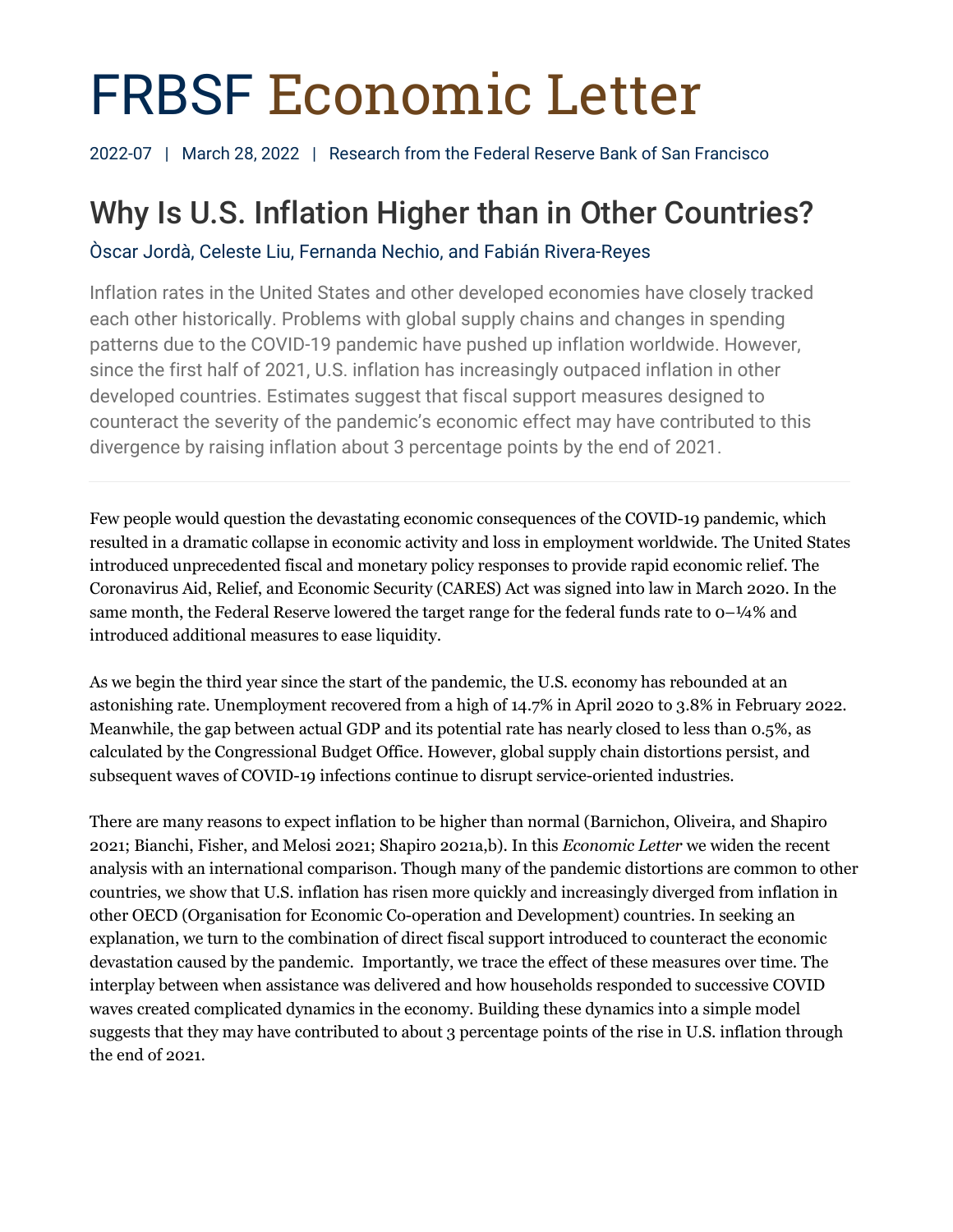# FRBSF Economic Letter

2022-07 | March 28, 2022 | Research from the Federal Reserve Bank of San Francisco

# Why Is U.S. Inflation Higher than in Other Countries?

Òscar Jordà, Celeste Liu, Fernanda Nechio, and Fabián Rivera-Reyes

Inflation rates in the United States and other developed economies have closely tracked each other historically. Problems with global supply chains and changes in spending patterns due to the COVID-19 pandemic have pushed up inflation worldwide. However, since the first half of 2021, U.S. inflation has increasingly outpaced inflation in other developed countries. Estimates suggest that fiscal support measures designed to counteract the severity of the pandemic's economic effect may have contributed to this divergence by raising inflation about 3 percentage points by the end of 2021.

Few people would question the devastating economic consequences of the COVID-19 pandemic, which resulted in a dramatic collapse in economic activity and loss in employment worldwide. The United States introduced unprecedented fiscal and monetary policy responses to provide rapid economic relief. The Coronavirus Aid, Relief, and Economic Security (CARES) Act was signed into law in March 2020. In the same month, the Federal Reserve lowered the target range for the federal funds rate to  $o-1/4%$  and introduced additional measures to ease liquidity.

As we begin the third year since the start of the pandemic, the U.S. economy has rebounded at an astonishing rate. Unemployment recovered from a high of 14.7% in April 2020 to 3.8% in February 2022. Meanwhile, the gap between actual GDP and its potential rate has nearly closed to less than 0.5%, as calculated by the Congressional Budget Office. However, global supply chain distortions persist, and subsequent waves of COVID-19 infections continue to disrupt service-oriented industries.

There are many reasons to expect inflation to be higher than normal (Barnichon, Oliveira, and Shapiro 2021; Bianchi, Fisher, and Melosi 2021; Shapiro 2021a,b). In this *Economic Letter* we widen the recent analysis with an international comparison. Though many of the pandemic distortions are common to other countries, we show that U.S. inflation has risen more quickly and increasingly diverged from inflation in other OECD (Organisation for Economic Co-operation and Development) countries. In seeking an explanation, we turn to the combination of direct fiscal support introduced to counteract the economic devastation caused by the pandemic. Importantly, we trace the effect of these measures over time. The interplay between when assistance was delivered and how households responded to successive COVID waves created complicated dynamics in the economy. Building these dynamics into a simple model suggests that they may have contributed to about 3 percentage points of the rise in U.S. inflation through the end of 2021.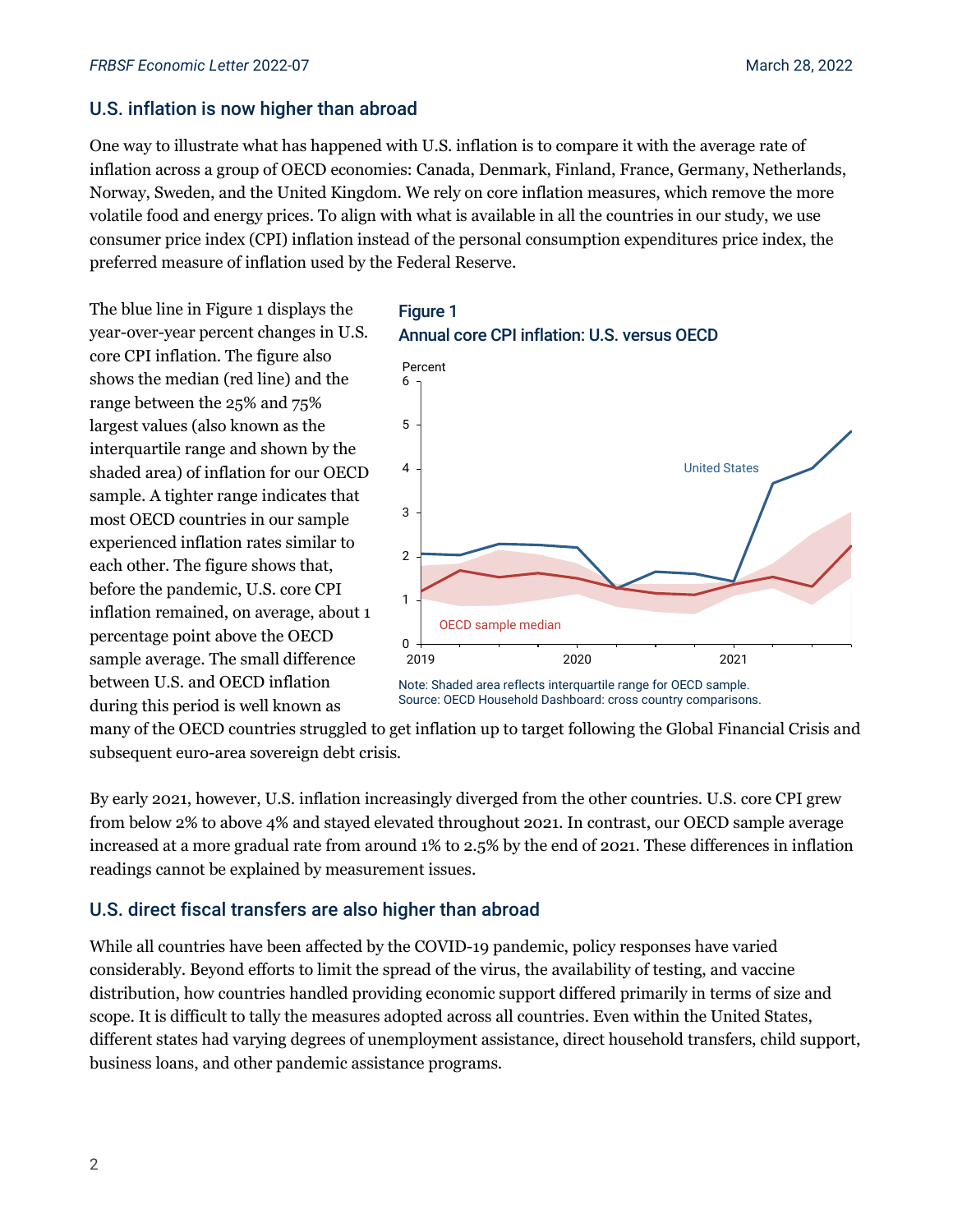### U.S. inflation is now higher than abroad

One way to illustrate what has happened with U.S. inflation is to compare it with the average rate of inflation across a group of OECD economies: Canada, Denmark, Finland, France, Germany, Netherlands, Norway, Sweden, and the United Kingdom. We rely on core inflation measures, which remove the more volatile food and energy prices. To align with what is available in all the countries in our study, we use consumer price index (CPI) inflation instead of the personal consumption expenditures price index, the preferred measure of inflation used by the Federal Reserve.

The blue line in Figure 1 displays the year-over-year percent changes in U.S. core CPI inflation. The figure also shows the median (red line) and the range between the 25% and 75% largest values (also known as the interquartile range and shown by the shaded area) of inflation for our OECD sample. A tighter range indicates that most OECD countries in our sample experienced inflation rates similar to each other. The figure shows that, before the pandemic, U.S. core CPI inflation remained, on average, about 1 percentage point above the OECD sample average. The small difference between U.S. and OECD inflation during this period is well known as

#### **Figure 1** Annual core CPI inflation: U.S. versus OECD



Note: Shaded area reflects interquartile range for OECD sample. Source: OECD Household Dashboard: cross country comparisons.

many of the OECD countries struggled to get inflation up to target following the Global Financial Crisis and subsequent euro-area sovereign debt crisis.

By early 2021, however, U.S. inflation increasingly diverged from the other countries. U.S. core CPI grew from below 2% to above 4% and stayed elevated throughout 2021. In contrast, our OECD sample average increased at a more gradual rate from around 1% to 2.5% by the end of 2021. These differences in inflation readings cannot be explained by measurement issues.

# U.S. direct fiscal transfers are also higher than abroad

While all countries have been affected by the COVID-19 pandemic, policy responses have varied considerably. Beyond efforts to limit the spread of the virus, the availability of testing, and vaccine distribution, how countries handled providing economic support differed primarily in terms of size and scope. It is difficult to tally the measures adopted across all countries. Even within the United States, different states had varying degrees of unemployment assistance, direct household transfers, child support, business loans, and other pandemic assistance programs.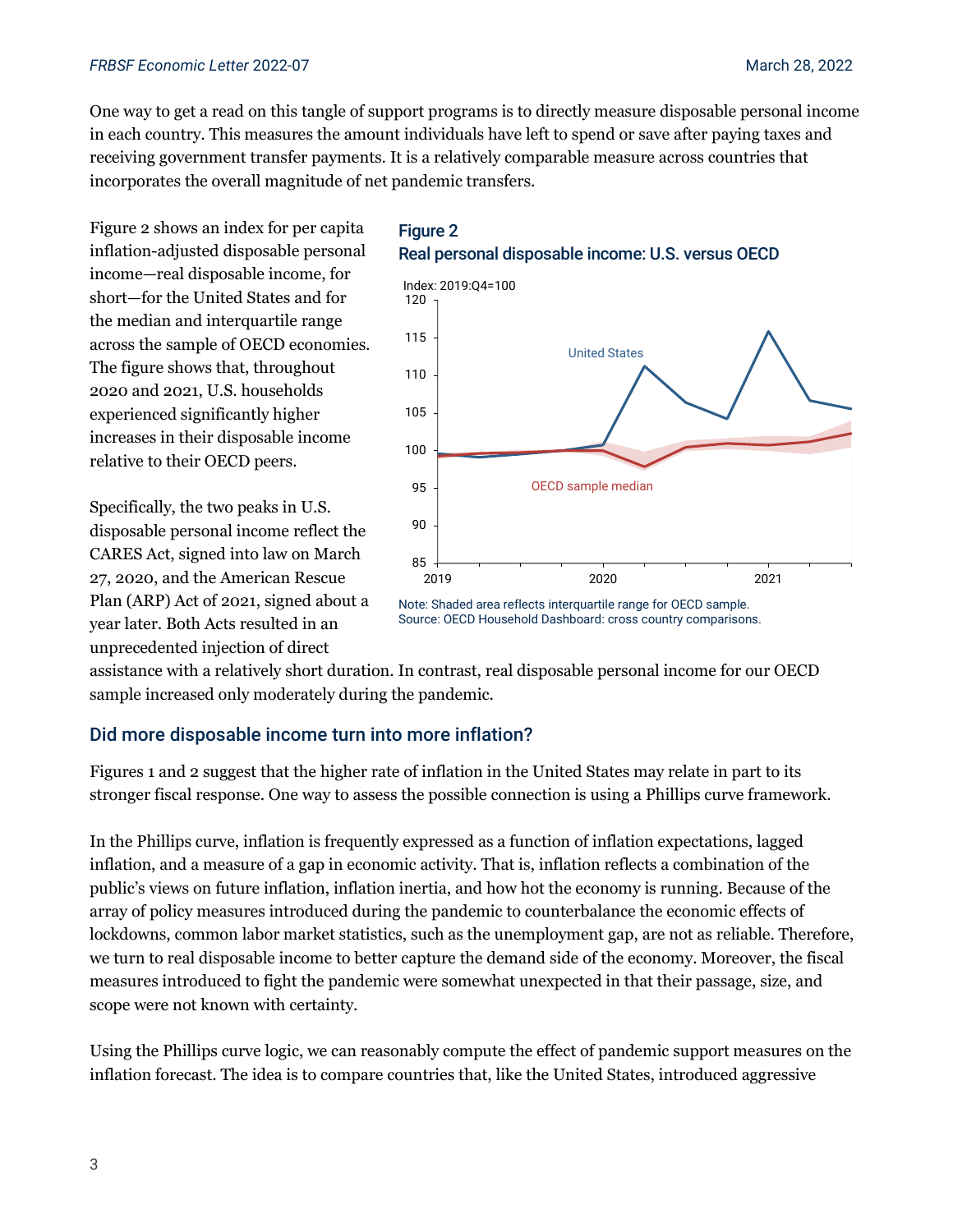#### *FRBSF Economic Letter* 2022-07 March 28, 2022

One way to get a read on this tangle of support programs is to directly measure disposable personal income in each country. This measures the amount individuals have left to spend or save after paying taxes and receiving government transfer payments. It is a relatively comparable measure across countries that incorporates the overall magnitude of net pandemic transfers.

Figure 2 shows an index for per capita inflation-adjusted disposable personal income—real disposable income, for short—for the United States and for the median and interquartile range across the sample of OECD economies. The figure shows that, throughout 2020 and 2021, U.S. households experienced significantly higher increases in their disposable income relative to their OECD peers.

Specifically, the two peaks in U.S. disposable personal income reflect the CARES Act, signed into law on March 27, 2020, and the American Rescue Plan (ARP) Act of 2021, signed about a year later. Both Acts resulted in an unprecedented injection of direct







assistance with a relatively short duration. In contrast, real disposable personal income for our OECD sample increased only moderately during the pandemic.

# Did more disposable income turn into more inflation?

Figures 1 and 2 suggest that the higher rate of inflation in the United States may relate in part to its stronger fiscal response. One way to assess the possible connection is using a Phillips curve framework.

In the Phillips curve, inflation is frequently expressed as a function of inflation expectations, lagged inflation, and a measure of a gap in economic activity. That is, inflation reflects a combination of the public's views on future inflation, inflation inertia, and how hot the economy is running. Because of the array of policy measures introduced during the pandemic to counterbalance the economic effects of lockdowns, common labor market statistics, such as the unemployment gap, are not as reliable. Therefore, we turn to real disposable income to better capture the demand side of the economy. Moreover, the fiscal measures introduced to fight the pandemic were somewhat unexpected in that their passage, size, and scope were not known with certainty.

Using the Phillips curve logic, we can reasonably compute the effect of pandemic support measures on the inflation forecast. The idea is to compare countries that, like the United States, introduced aggressive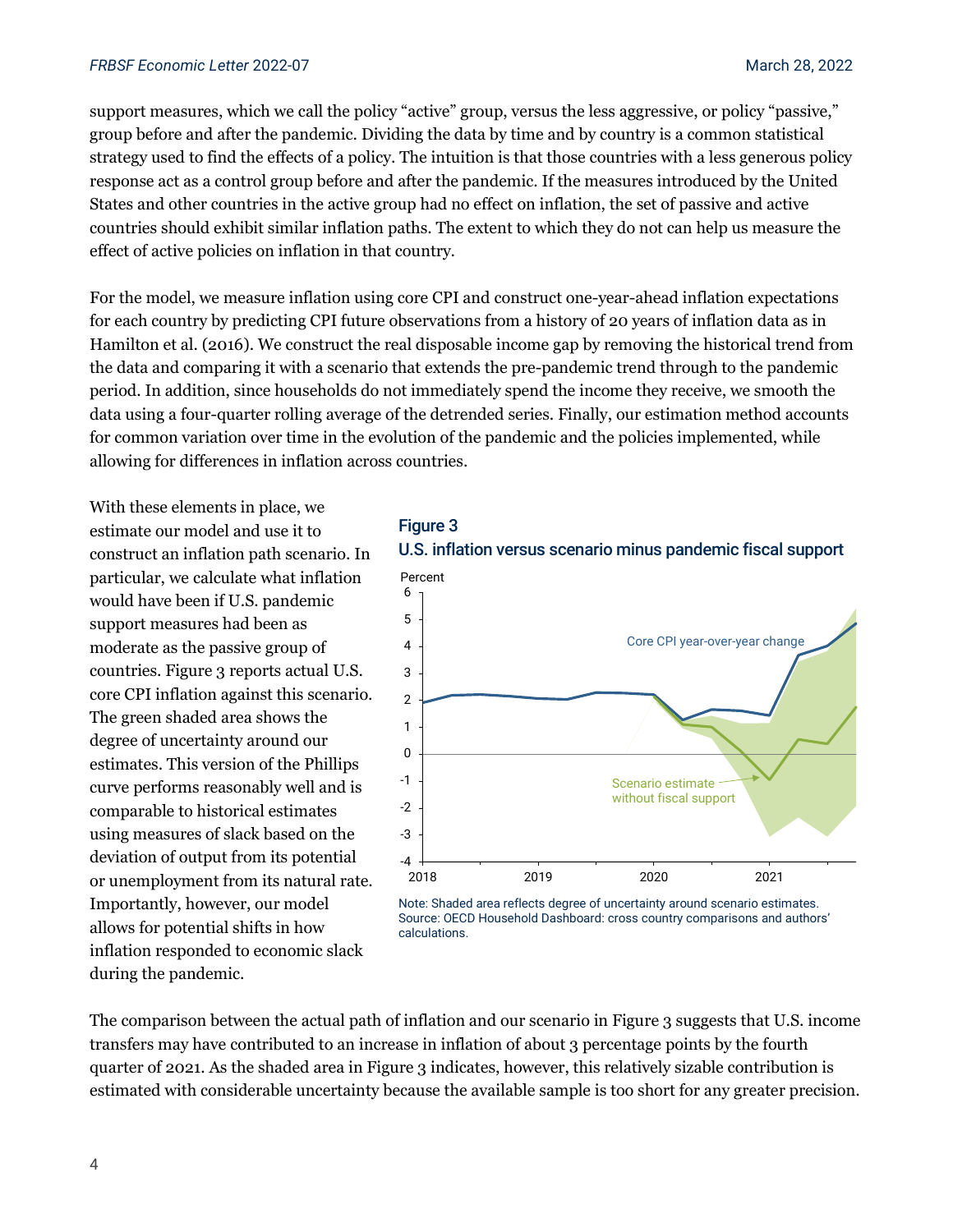#### *FRBSF Economic Letter* 2022-07 March 28, 2022

support measures, which we call the policy "active" group, versus the less aggressive, or policy "passive," group before and after the pandemic. Dividing the data by time and by country is a common statistical strategy used to find the effects of a policy. The intuition is that those countries with a less generous policy response act as a control group before and after the pandemic. If the measures introduced by the United States and other countries in the active group had no effect on inflation, the set of passive and active countries should exhibit similar inflation paths. The extent to which they do not can help us measure the effect of active policies on inflation in that country.

For the model, we measure inflation using core CPI and construct one-year-ahead inflation expectations for each country by predicting CPI future observations from a history of 20 years of inflation data as in Hamilton et al. (2016). We construct the real disposable income gap by removing the historical trend from the data and comparing it with a scenario that extends the pre-pandemic trend through to the pandemic period. In addition, since households do not immediately spend the income they receive, we smooth the data using a four-quarter rolling average of the detrended series. Finally, our estimation method accounts for common variation over time in the evolution of the pandemic and the policies implemented, while allowing for differences in inflation across countries.

With these elements in place, we estimate our model and use it to construct an inflation path scenario. In particular, we calculate what inflation would have been if U.S. pandemic support measures had been as moderate as the passive group of countries. Figure 3 reports actual U.S. core CPI inflation against this scenario. The green shaded area shows the degree of uncertainty around our estimates. This version of the Phillips curve performs reasonably well and is comparable to historical estimates using measures of slack based on the deviation of output from its potential or unemployment from its natural rate. Importantly, however, our model allows for potential shifts in how inflation responded to economic slack during the pandemic.

Figure 3 U.S. inflation versus scenario minus pandemic fiscal support



Note: Shaded area reflects degree of uncertainty around scenario estimates. Source: OECD Household Dashboard: cross country comparisons and authors' calculations.

The comparison between the actual path of inflation and our scenario in Figure 3 suggests that U.S. income transfers may have contributed to an increase in inflation of about 3 percentage points by the fourth quarter of 2021. As the shaded area in Figure 3 indicates, however, this relatively sizable contribution is estimated with considerable uncertainty because the available sample is too short for any greater precision.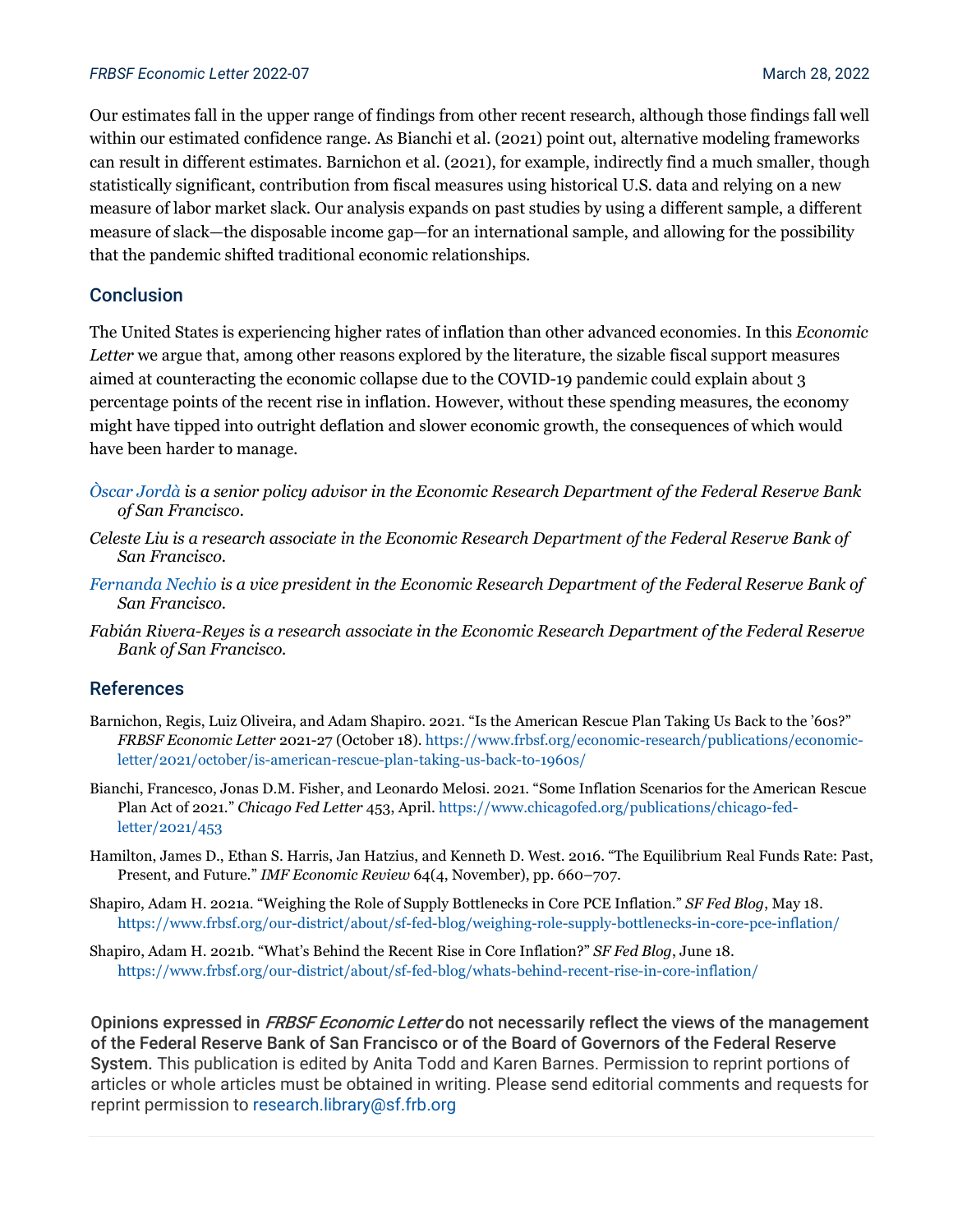#### *FRBSF Economic Letter* 2022-07 March 28, 2022

Our estimates fall in the upper range of findings from other recent research, although those findings fall well within our estimated confidence range. As Bianchi et al. (2021) point out, alternative modeling frameworks can result in different estimates. Barnichon et al. (2021), for example, indirectly find a much smaller, though statistically significant, contribution from fiscal measures using historical U.S. data and relying on a new measure of labor market slack. Our analysis expands on past studies by using a different sample, a different measure of slack—the disposable income gap—for an international sample, and allowing for the possibility that the pandemic shifted traditional economic relationships.

### **Conclusion**

The United States is experiencing higher rates of inflation than other advanced economies. In this *Economic Letter* we argue that, among other reasons explored by the literature, the sizable fiscal support measures aimed at counteracting the economic collapse due to the COVID-19 pandemic could explain about 3 percentage points of the recent rise in inflation. However, without these spending measures, the economy might have tipped into outright deflation and slower economic growth, the consequences of which would have been harder to manage.

- *[Òscar Jordà](https://www.frbsf.org/economic-research/economists/oscar-jorda/) is a senior policy advisor in the Economic Research Department of the Federal Reserve Bank of San Francisco.*
- *Celeste Liu is a research associate in the Economic Research Department of the Federal Reserve Bank of San Francisco.*
- *[Fernanda Nechio](https://www.frbsf.org/economic-research/economists/fernanda-nechio/) is a vice president in the Economic Research Department of the Federal Reserve Bank of San Francisco.*
- *Fabián Rivera-Reyes is a research associate in the Economic Research Department of the Federal Reserve Bank of San Francisco.*

#### References

- Barnichon, Regis, Luiz Oliveira, and Adam Shapiro. 2021. "Is the American Rescue Plan Taking Us Back to the '60s?" *FRBSF Economic Letter* 2021-27 (October 18)[. https://www.frbsf.org/economic-research/publications/economic](https://www.frbsf.org/economic-research/publications/economic-letter/2021/october/is-american-rescue-plan-taking-us-back-to-1960s/)[letter/2021/october/is-american-rescue-plan-taking-us-back-to-1960s/](https://www.frbsf.org/economic-research/publications/economic-letter/2021/october/is-american-rescue-plan-taking-us-back-to-1960s/)
- Bianchi, Francesco, Jonas D.M. Fisher, and Leonardo Melosi. 2021. "Some Inflation Scenarios for the American Rescue Plan Act of 2021." *Chicago Fed Letter* 453, April. [https://www.chicagofed.org/publications/chicago-fed](https://www.chicagofed.org/publications/chicago-fed-letter/2021/453)[letter/2021/453](https://www.chicagofed.org/publications/chicago-fed-letter/2021/453)
- Hamilton, James D., Ethan S. Harris, Jan Hatzius, and Kenneth D. West. 2016. "The Equilibrium Real Funds Rate: Past, Present, and Future." *IMF Economic Review* 64(4, November), pp. 660–707.
- Shapiro, Adam H. 2021a. "Weighing the Role of Supply Bottlenecks in Core PCE Inflation." *SF Fed Blog*, May 18. <https://www.frbsf.org/our-district/about/sf-fed-blog/weighing-role-supply-bottlenecks-in-core-pce-inflation/>
- Shapiro, Adam H. 2021b. "What's Behind the Recent Rise in Core Inflation?" *SF Fed Blog*, June 18. <https://www.frbsf.org/our-district/about/sf-fed-blog/whats-behind-recent-rise-in-core-inflation/>

Opinions expressed in *FRBSF Economic Letter* do not necessarily reflect the views of the management of the Federal Reserve Bank of San Francisco or of the Board of Governors of the Federal Reserve System. This publication is edited by Anita Todd and Karen Barnes. Permission to reprint portions of articles or whole articles must be obtained in writing. Please send editorial comments and requests for reprint permission to [research.library@sf.frb.org](mailto:research.library@sf.frb.org)